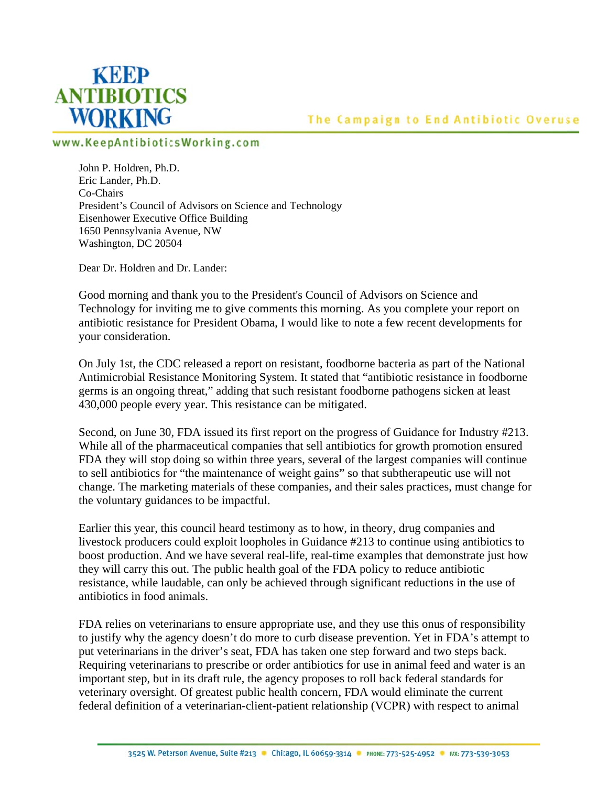

## The Campaign to End Antibiotic Overuse

## www.KeepAntibioticsWorking.com

John P. Holdren, Ph.D. Eric Lander, Ph.D. Co-Chairs President's Council of Advisors on Science and Technology Eisenhower Executive Office Building 1650 Pennsylvania Avenue, NW Washington, DC 20504

Dear Dr. Holdren and Dr. Lander:

Good morning and thank you to the President's Council of Advisors on Science and Technology for inviting me to give comments this morning. As you complete your report on antibiotic resistance for President Obama, I would like to note a few recent developments for your consideration.

On July 1st, the CDC released a report on resistant, foodborne bacteria as part of the National Antimicrobial Resistance Monitoring System. It stated that "antibiotic resistance in foodborne germs is an ongoing threat," adding that such resistant foodborne pathogens sicken at least 430,000 people every year. This resistance can be mitigated.

Second, on June 30, FDA issued its first report on the progress of Guidance for Industry #213. While all of the pharmaceutical companies that sell antibiotics for growth promotion ensured FDA they will stop doing so within three years, several of the largest companies will continue to sell antibiotics for "the maintenance of weight gains" so that subtherapeutic use will not change. The marketing materials of these companies, and their sales practices, must change for the voluntary guidances to be impactful.

Earlier this year, this council heard testimony as to how, in theory, drug companies and livestock producers could exploit loopholes in Guidance #213 to continue using antibiotics to boost production. And we have several real-life, real-time examples that demonstrate just how they will carry this out. The public health goal of the FDA policy to reduce antibiotic resistance, while laudable, can only be achieved through significant reductions in the use of antibiotics in food animals.

FDA relies on veterinarians to ensure appropriate use, and they use this onus of responsibility to justify why the agency doesn't do more to curb disease prevention. Yet in FDA's attempt to put veterinarians in the driver's seat, FDA has taken one step forward and two steps back. Requiring veterinarians to prescribe or order antibiotics for use in animal feed and water is an important step, but in its draft rule, the agency proposes to roll back federal standards for veterinary oversight. Of greatest public health concern, FDA would eliminate the current federal definition of a veterinarian-client-patient relationship (VCPR) with respect to animal